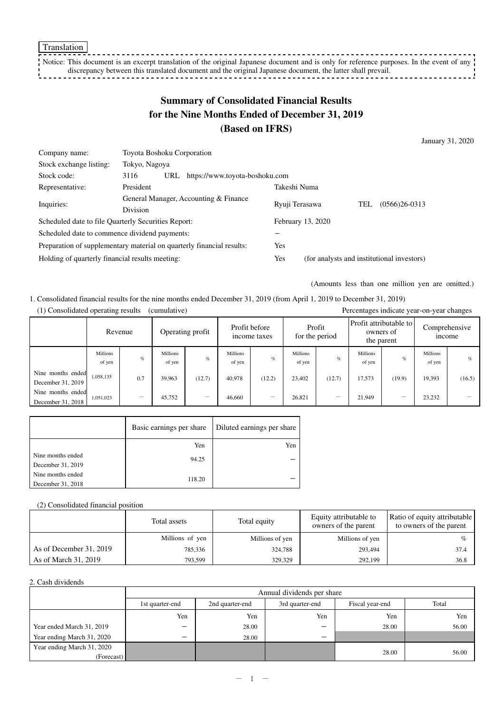Translation

<u>. . . . . . .</u> Notice: This document is an excerpt translation of the original Japanese document and is only for reference purposes. In the event of any  $\cdot$ discrepancy between this translated document and the original Japanese document, the latter shall prevail. <u> - - - - - - - - - - - - - !</u>

# **Summary of Consolidated Financial Results for the Nine Months Ended of December 31, 2019 (Based on IFRS)**

January 31, 2020

| Company name:                                                         | <b>Toyota Boshoku Corporation</b>                        |     |                                |                                            |  |  |  |
|-----------------------------------------------------------------------|----------------------------------------------------------|-----|--------------------------------|--------------------------------------------|--|--|--|
| Stock exchange listing:                                               | Tokyo, Nagoya                                            |     |                                |                                            |  |  |  |
| Stock code:                                                           | 3116                                                     | URL | https://www.toyota-boshoku.com |                                            |  |  |  |
| Representative:                                                       | President                                                |     |                                | Takeshi Numa                               |  |  |  |
| Inquiries:                                                            | General Manager, Accounting & Finance<br><b>Division</b> |     |                                | $(0566)26-0313$<br>TEL<br>Ryuji Terasawa   |  |  |  |
|                                                                       |                                                          |     |                                |                                            |  |  |  |
| Scheduled date to file Quarterly Securities Report:                   |                                                          |     |                                | February 13, 2020                          |  |  |  |
| Scheduled date to commence dividend payments:                         |                                                          |     |                                |                                            |  |  |  |
| Preparation of supplementary material on quarterly financial results: |                                                          |     | Yes                            |                                            |  |  |  |
| Holding of quarterly financial results meeting:                       |                                                          |     | Yes                            | (for analysts and institutional investors) |  |  |  |

(Amounts less than one million yen are omitted.)

1. Consolidated financial results for the nine months ended December 31, 2019 (from April 1, 2019 to December 31, 2019) (1) Consolidated operating results (cumulative) Percentages indicate year-on-year changes

| 1) Consondated operating results<br>(cumulative)<br>Percentages indicate year-on-year changes |                           |                                |                                                   |        |                           |                          |                    |                                                     |                           |                               |                           |        |
|-----------------------------------------------------------------------------------------------|---------------------------|--------------------------------|---------------------------------------------------|--------|---------------------------|--------------------------|--------------------|-----------------------------------------------------|---------------------------|-------------------------------|---------------------------|--------|
|                                                                                               | Revenue                   |                                | Profit before<br>Operating profit<br>income taxes |        |                           | Profit<br>for the period |                    | Profit attributable to l<br>owners of<br>the parent |                           | Comprehensive<br><i>ncome</i> |                           |        |
|                                                                                               | <b>Millions</b><br>of yen | $\%$                           | Millions<br>of yen                                | $\%$   | <b>Millions</b><br>of yen | $\%$                     | Millions<br>of yen | $\%$                                                | <b>Millions</b><br>of yen | $\%$                          | <b>Millions</b><br>of yen | $\%$   |
| Nine months ended<br>December 31, 2019                                                        | 1,058,135                 | 0.7                            | 39.963                                            | (12.7) | 40.978                    | (12.2)                   | 23.402             | (12.7)                                              | 17.573                    | (19.9)                        | 19,393                    | (16.5) |
| Nine months ended<br>December 31, 2018                                                        | 1,051,023                 | $\qquad \qquad \longleftarrow$ | 45,752                                            |        | 46,660                    |                          | 26,821             |                                                     | 21.949                    |                               | 23.232                    |        |

|                   | Basic earnings per share | Diluted earnings per share |
|-------------------|--------------------------|----------------------------|
|                   | Yen                      | Yen                        |
| Nine months ended | 94.25                    |                            |
| December 31, 2019 |                          |                            |
| Nine months ended | 118.20                   |                            |
| December 31, 2018 |                          |                            |

#### (2) Consolidated financial position

|                         | Total assets    | Total equity    | Equity attributable to<br>owners of the parent | Ratio of equity attributable<br>to owners of the parent |  |
|-------------------------|-----------------|-----------------|------------------------------------------------|---------------------------------------------------------|--|
|                         | Millions of yen | Millions of yen | Millions of yen                                |                                                         |  |
| As of December 31, 2019 | 785,336         | 324.788         | 293.494                                        | 37.4                                                    |  |
| As of March 31, 2019    | 793,599         | 329,329         | 292,199                                        | 36.8                                                    |  |

#### 2. Cash dividends

|                            | Annual dividends per share |                 |                 |                 |       |  |  |  |  |
|----------------------------|----------------------------|-----------------|-----------------|-----------------|-------|--|--|--|--|
|                            | 1st quarter-end            | 2nd quarter-end | 3rd quarter-end | Fiscal year-end | Total |  |  |  |  |
|                            | Yen                        | Yen             | Yen             | Yen             | Yen   |  |  |  |  |
| Year ended March 31, 2019  | -                          | 28.00           | -               | 28.00           | 56.00 |  |  |  |  |
| Year ending March 31, 2020 | -                          | 28.00           | -               |                 |       |  |  |  |  |
| Year ending March 31, 2020 |                            |                 |                 |                 |       |  |  |  |  |
| (Forecast)                 |                            |                 |                 | 28.00           | 56.00 |  |  |  |  |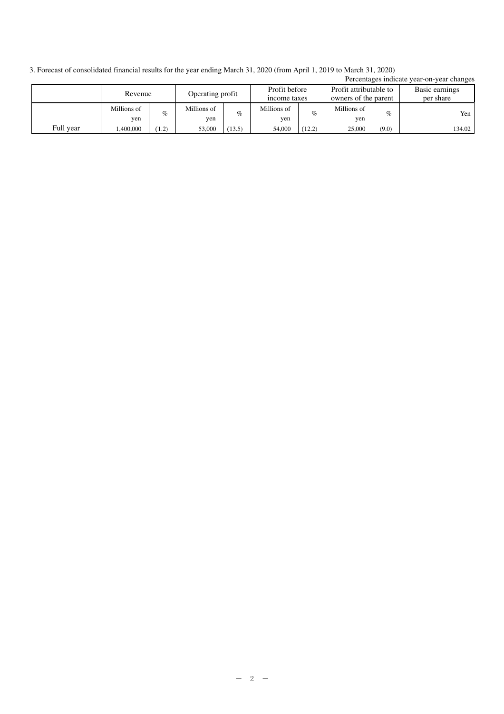3. Forecast of consolidated financial results for the year ending March 31, 2020 (from April 1, 2019 to March 31, 2020)

|           |             |       |                  |        |                               |        |                                                |       | Percentages indicate year-on-year changes |
|-----------|-------------|-------|------------------|--------|-------------------------------|--------|------------------------------------------------|-------|-------------------------------------------|
|           | Revenue     |       | Operating profit |        | Profit before<br>income taxes |        | Profit attributable to<br>owners of the parent |       | Basic earnings<br>per share               |
|           |             |       |                  |        |                               |        |                                                |       |                                           |
|           | Millions of | $\%$  | Millions of      | $\%$   | Millions of                   | $\%$   | Millions of                                    | $\%$  | Yen                                       |
|           | yen         |       | yen              |        | yen                           |        | yen                                            |       |                                           |
| Full year | .400,000    | (1.2) | 53,000           | (13.5) | 54,000                        | (12.2) | 25,000                                         | (9.0) | 134.02                                    |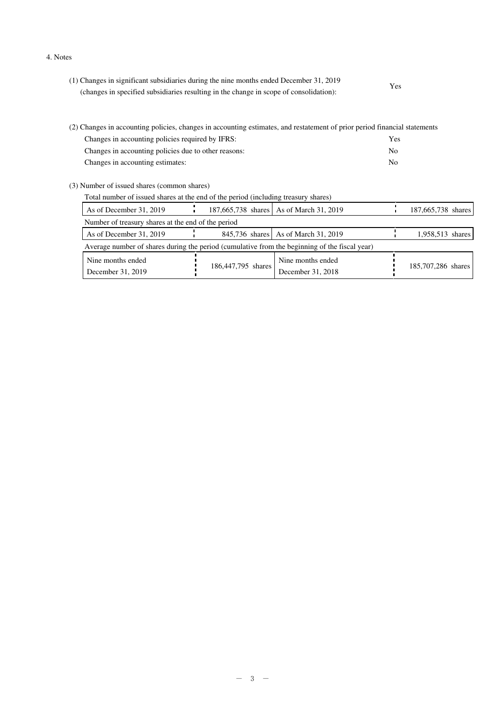4. Notes

| (1) Changes in significant subsidiaries during the nine months ended December 31, 2019 | Yes |
|----------------------------------------------------------------------------------------|-----|
| (changes in specified subsidiaries resulting in the change in scope of consolidation): |     |

| (2) Changes in accounting policies, changes in accounting estimates, and restatement of prior period financial statements |     |  |  |  |
|---------------------------------------------------------------------------------------------------------------------------|-----|--|--|--|
| Changes in accounting policies required by IFRS:                                                                          | Yes |  |  |  |
| Changes in accounting policies due to other reasons:                                                                      | No. |  |  |  |
| Changes in accounting estimates:                                                                                          | No. |  |  |  |

(3) Number of issued shares (common shares)

| Total number of issued shares at the end of the period (including treasury shares) |                                                                                               |                    |                                         |  |                    |  |
|------------------------------------------------------------------------------------|-----------------------------------------------------------------------------------------------|--------------------|-----------------------------------------|--|--------------------|--|
| As of December 31, 2019                                                            |                                                                                               |                    | 187,665,738 shares As of March 31, 2019 |  | 187,665,738 shares |  |
| Number of treasury shares at the end of the period                                 |                                                                                               |                    |                                         |  |                    |  |
| As of December 31, 2019                                                            |                                                                                               |                    | 845,736 shares As of March 31, 2019     |  | 1,958,513 shares   |  |
|                                                                                    | Average number of shares during the period (cumulative from the beginning of the fiscal year) |                    |                                         |  |                    |  |
| Nine months ended<br>December 31, 2019                                             |                                                                                               | 186,447,795 shares | Nine months ended<br>December 31, 2018  |  | 185,707,286 shares |  |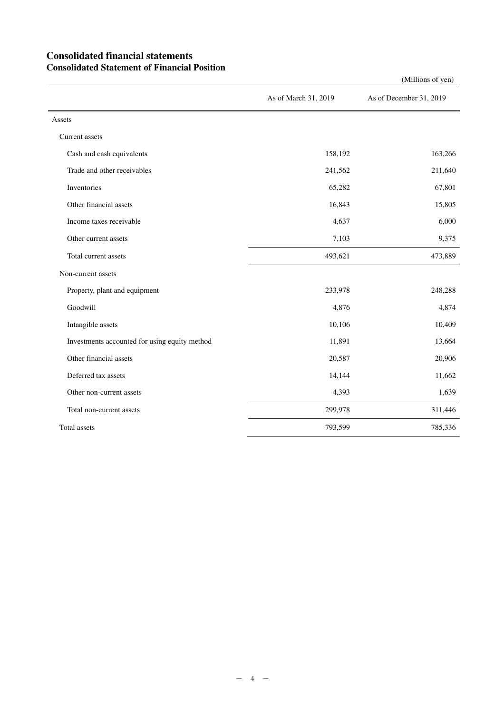## **Consolidated financial statements Consolidated Statement of Financial Position**

As of March 31, 2019 As of December 31, 2019 Assets Current assets Cash and cash equivalents 163,266 Trade and other receivables 241,562 211,640 Inventories 65,282 67,801 Other financial assets 16,843 15,805 Income taxes receivable 6,000 and  $\frac{4,637}{2}$  6,000 and  $\frac{4,637}{2}$  6,000 and  $\frac{4,637}{2}$  6,000 and  $\frac{4,637}{2}$  6,000 and  $\frac{4,637}{2}$  6,000 and  $\frac{4,637}{2}$  6,000 and  $\frac{4,637}{2}$  6,000 and  $\frac{4,637}{2}$  6,000 Other current assets 3,375 Total current assets 473,889 and the state and the state 493,621 473,889 Non-current assets Property, plant and equipment 233,978 248,288 Goodwill **4,876** 4,874 Intangible assets 10,106 10,409 Investments accounted for using equity method 11,891 13,664 Other financial assets 20,587 20,906 Deferred tax assets 14,144 11,662 Other non-current assets 1,639 1,639 Total non-current assets 299,978 311,446 Total assets 793,599 785,336

(Millions of yen)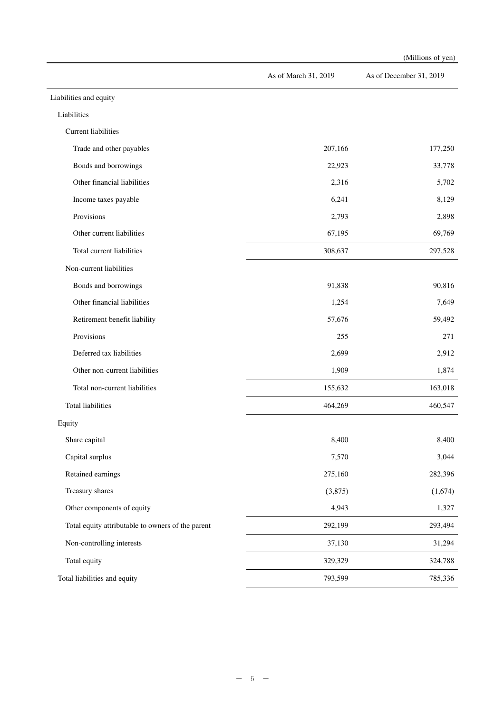|                                                   |                      | (Millions of yen)       |
|---------------------------------------------------|----------------------|-------------------------|
|                                                   | As of March 31, 2019 | As of December 31, 2019 |
| Liabilities and equity                            |                      |                         |
| Liabilities                                       |                      |                         |
| <b>Current liabilities</b>                        |                      |                         |
| Trade and other payables                          | 207,166              | 177,250                 |
| Bonds and borrowings                              | 22,923               | 33,778                  |
| Other financial liabilities                       | 2,316                | 5,702                   |
| Income taxes payable                              | 6,241                | 8,129                   |
| Provisions                                        | 2,793                | 2,898                   |
| Other current liabilities                         | 67,195               | 69,769                  |
| Total current liabilities                         | 308,637              | 297,528                 |
| Non-current liabilities                           |                      |                         |
| Bonds and borrowings                              | 91,838               | 90,816                  |
| Other financial liabilities                       | 1,254                | 7,649                   |
| Retirement benefit liability                      | 57,676               | 59,492                  |
| Provisions                                        | 255                  | 271                     |
| Deferred tax liabilities                          | 2,699                | 2,912                   |
| Other non-current liabilities                     | 1,909                | 1,874                   |
| Total non-current liabilities                     | 155,632              | 163,018                 |
| <b>Total liabilities</b>                          | 464,269              | 460,547                 |
| Equity                                            |                      |                         |
| Share capital                                     | 8,400                | 8,400                   |
| Capital surplus                                   | 7,570                | 3,044                   |
| Retained earnings                                 | 275,160              | 282,396                 |
| Treasury shares                                   | (3,875)              | (1,674)                 |
| Other components of equity                        | 4,943                | 1,327                   |
| Total equity attributable to owners of the parent | 292,199              | 293,494                 |
| Non-controlling interests                         | 37,130               | 31,294                  |
| Total equity                                      | 329,329              | 324,788                 |
| Total liabilities and equity                      | 793,599              | 785,336                 |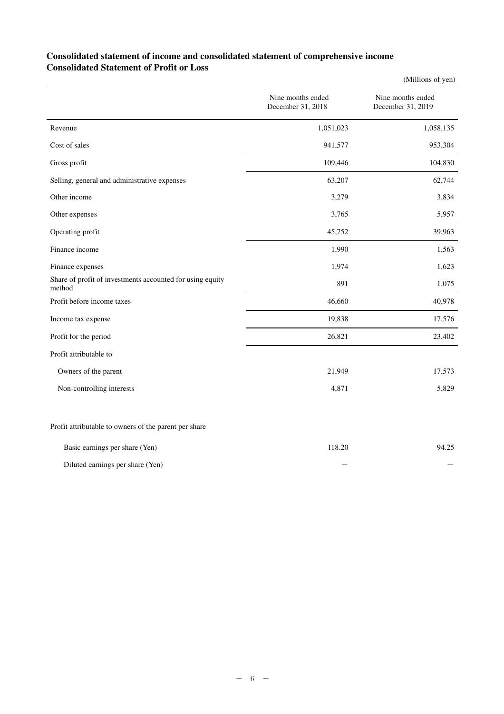## **Consolidated statement of income and consolidated statement of comprehensive income Consolidated Statement of Profit or Loss**

|                                                                     |                                        | (Millions of yen)                      |
|---------------------------------------------------------------------|----------------------------------------|----------------------------------------|
|                                                                     | Nine months ended<br>December 31, 2018 | Nine months ended<br>December 31, 2019 |
| Revenue                                                             | 1,051,023                              | 1,058,135                              |
| Cost of sales                                                       | 941,577                                | 953,304                                |
| Gross profit                                                        | 109,446                                | 104,830                                |
| Selling, general and administrative expenses                        | 63,207                                 | 62,744                                 |
| Other income                                                        | 3,279                                  | 3,834                                  |
| Other expenses                                                      | 3,765                                  | 5,957                                  |
| Operating profit                                                    | 45,752                                 | 39,963                                 |
| Finance income                                                      | 1,990                                  | 1,563                                  |
| Finance expenses                                                    | 1,974                                  | 1,623                                  |
| Share of profit of investments accounted for using equity<br>method | 891                                    | 1,075                                  |
| Profit before income taxes                                          | 46,660                                 | 40,978                                 |
| Income tax expense                                                  | 19,838                                 | 17,576                                 |
| Profit for the period                                               | 26,821                                 | 23,402                                 |
| Profit attributable to                                              |                                        |                                        |
| Owners of the parent                                                | 21,949                                 | 17,573                                 |
| Non-controlling interests                                           | 4,871                                  | 5,829                                  |
| Profit attributable to owners of the parent per share               |                                        |                                        |

| Basic earnings per share (Yen)   | 118.20 | 94.25 |
|----------------------------------|--------|-------|
| Diluted earnings per share (Yen) | _      |       |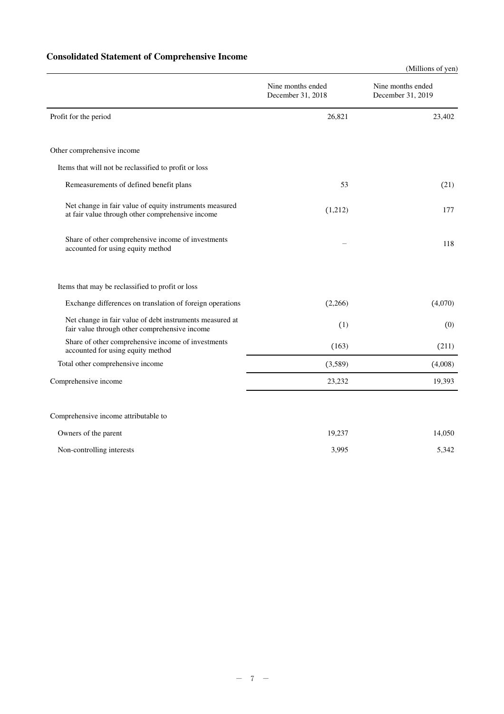# **Consolidated Statement of Comprehensive Income**

|                                                                                                             |                                        | (Millions of yen)                      |
|-------------------------------------------------------------------------------------------------------------|----------------------------------------|----------------------------------------|
|                                                                                                             | Nine months ended<br>December 31, 2018 | Nine months ended<br>December 31, 2019 |
| Profit for the period                                                                                       | 26,821                                 | 23,402                                 |
| Other comprehensive income                                                                                  |                                        |                                        |
| Items that will not be reclassified to profit or loss                                                       |                                        |                                        |
| Remeasurements of defined benefit plans                                                                     | 53                                     | (21)                                   |
| Net change in fair value of equity instruments measured<br>at fair value through other comprehensive income | (1,212)                                | 177                                    |
| Share of other comprehensive income of investments<br>accounted for using equity method                     |                                        | 118                                    |
| Items that may be reclassified to profit or loss                                                            |                                        |                                        |
| Exchange differences on translation of foreign operations                                                   | (2,266)                                | (4,070)                                |
| Net change in fair value of debt instruments measured at<br>fair value through other comprehensive income   | (1)                                    | (0)                                    |
| Share of other comprehensive income of investments<br>accounted for using equity method                     | (163)                                  | (211)                                  |
| Total other comprehensive income                                                                            | (3,589)                                | (4,008)                                |
| Comprehensive income                                                                                        | 23,232                                 | 19,393                                 |
| Comprehensive income attributable to                                                                        |                                        |                                        |
| Owners of the parent                                                                                        | 19,237                                 | 14,050                                 |
| Non-controlling interests                                                                                   | 3,995                                  | 5,342                                  |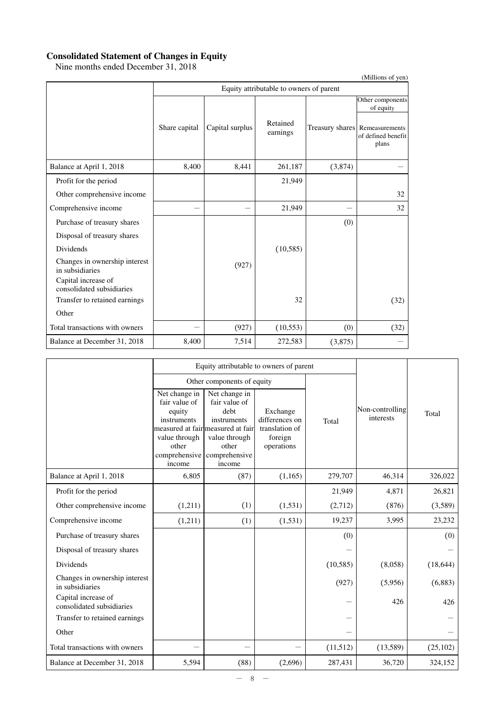#### **Consolidated Statement of Changes in Equity**

Nine months ended December 31, 2018

|                                                  |                                         |                 |                      |         | (Millions of yen)                                             |  |  |  |
|--------------------------------------------------|-----------------------------------------|-----------------|----------------------|---------|---------------------------------------------------------------|--|--|--|
|                                                  | Equity attributable to owners of parent |                 |                      |         |                                                               |  |  |  |
|                                                  |                                         |                 |                      |         | Other components<br>of equity                                 |  |  |  |
|                                                  | Share capital                           | Capital surplus | Retained<br>earnings |         | Treasury shares Remeasurements<br>of defined benefit<br>plans |  |  |  |
| Balance at April 1, 2018                         | 8,400                                   | 8,441           | 261,187              | (3,874) |                                                               |  |  |  |
| Profit for the period                            |                                         |                 | 21,949               |         |                                                               |  |  |  |
| Other comprehensive income                       |                                         |                 |                      |         | 32                                                            |  |  |  |
| Comprehensive income                             |                                         |                 | 21,949               |         | 32                                                            |  |  |  |
| Purchase of treasury shares                      |                                         |                 |                      | (0)     |                                                               |  |  |  |
| Disposal of treasury shares                      |                                         |                 |                      |         |                                                               |  |  |  |
| <b>Dividends</b>                                 |                                         |                 | (10, 585)            |         |                                                               |  |  |  |
| Changes in ownership interest<br>in subsidiaries |                                         | (927)           |                      |         |                                                               |  |  |  |
| Capital increase of<br>consolidated subsidiaries |                                         |                 |                      |         |                                                               |  |  |  |
| Transfer to retained earnings                    |                                         |                 | 32                   |         | (32)                                                          |  |  |  |
| Other                                            |                                         |                 |                      |         |                                                               |  |  |  |
| Total transactions with owners                   |                                         | (927)           | (10, 553)            | (0)     | (32)                                                          |  |  |  |
| Balance at December 31, 2018                     | 8,400                                   | 7,514           | 272,583              | (3,875) |                                                               |  |  |  |

|                                                  |                                                                                                              | Equity attributable to owners of parent                                                                                                         |                                                                       |           |                              |           |
|--------------------------------------------------|--------------------------------------------------------------------------------------------------------------|-------------------------------------------------------------------------------------------------------------------------------------------------|-----------------------------------------------------------------------|-----------|------------------------------|-----------|
|                                                  |                                                                                                              | Other components of equity                                                                                                                      |                                                                       |           |                              |           |
|                                                  | Net change in<br>fair value of<br>equity<br>instruments<br>value through<br>other<br>comprehensive<br>income | Net change in<br>fair value of<br>debt<br>instruments<br>measured at fair measured at fair<br>value through<br>other<br>comprehensive<br>income | Exchange<br>differences on<br>translation of<br>foreign<br>operations | Total     | Non-controlling<br>interests | Total     |
| Balance at April 1, 2018                         | 6,805                                                                                                        | (87)                                                                                                                                            | (1,165)                                                               | 279,707   | 46,314                       | 326,022   |
| Profit for the period                            |                                                                                                              |                                                                                                                                                 |                                                                       | 21,949    | 4,871                        | 26,821    |
| Other comprehensive income                       | (1,211)                                                                                                      | (1)                                                                                                                                             | (1, 531)                                                              | (2,712)   | (876)                        | (3,589)   |
| Comprehensive income                             | (1,211)                                                                                                      | (1)                                                                                                                                             | (1, 531)                                                              | 19,237    | 3,995                        | 23,232    |
| Purchase of treasury shares                      |                                                                                                              |                                                                                                                                                 |                                                                       | (0)       |                              | (0)       |
| Disposal of treasury shares                      |                                                                                                              |                                                                                                                                                 |                                                                       |           |                              |           |
| <b>Dividends</b>                                 |                                                                                                              |                                                                                                                                                 |                                                                       | (10, 585) | (8,058)                      | (18, 644) |
| Changes in ownership interest<br>in subsidiaries |                                                                                                              |                                                                                                                                                 |                                                                       | (927)     | (5,956)                      | (6,883)   |
| Capital increase of<br>consolidated subsidiaries |                                                                                                              |                                                                                                                                                 |                                                                       |           | 426                          | 426       |
| Transfer to retained earnings                    |                                                                                                              |                                                                                                                                                 |                                                                       |           |                              |           |
| Other                                            |                                                                                                              |                                                                                                                                                 |                                                                       |           |                              |           |
| Total transactions with owners                   |                                                                                                              |                                                                                                                                                 |                                                                       | (11,512)  | (13,589)                     | (25, 102) |
| Balance at December 31, 2018                     | 5,594                                                                                                        | (88)                                                                                                                                            | (2,696)                                                               | 287,431   | 36,720                       | 324,152   |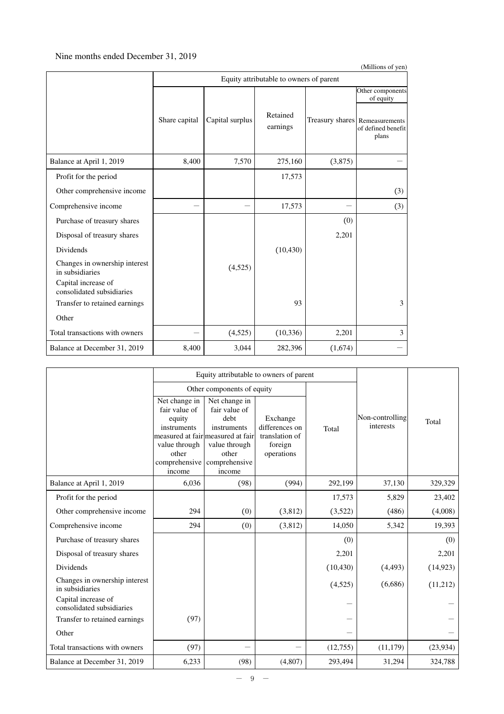### Nine months ended December 31, 2019

|                                                  |                                         |                 |                      |         | (Millions of yen)                                             |  |  |  |
|--------------------------------------------------|-----------------------------------------|-----------------|----------------------|---------|---------------------------------------------------------------|--|--|--|
|                                                  | Equity attributable to owners of parent |                 |                      |         |                                                               |  |  |  |
|                                                  |                                         |                 |                      |         | Other components<br>of equity                                 |  |  |  |
|                                                  | Share capital                           | Capital surplus | Retained<br>earnings |         | Treasury shares Remeasurements<br>of defined benefit<br>plans |  |  |  |
| Balance at April 1, 2019                         | 8,400                                   | 7,570           | 275,160              | (3,875) |                                                               |  |  |  |
| Profit for the period                            |                                         |                 | 17,573               |         |                                                               |  |  |  |
| Other comprehensive income                       |                                         |                 |                      |         | (3)                                                           |  |  |  |
| Comprehensive income                             |                                         |                 | 17,573               |         | (3)                                                           |  |  |  |
| Purchase of treasury shares                      |                                         |                 |                      | (0)     |                                                               |  |  |  |
| Disposal of treasury shares                      |                                         |                 |                      | 2,201   |                                                               |  |  |  |
| Dividends                                        |                                         |                 | (10, 430)            |         |                                                               |  |  |  |
| Changes in ownership interest<br>in subsidiaries |                                         | (4,525)         |                      |         |                                                               |  |  |  |
| Capital increase of<br>consolidated subsidiaries |                                         |                 |                      |         |                                                               |  |  |  |
| Transfer to retained earnings                    |                                         |                 | 93                   |         | 3                                                             |  |  |  |
| Other                                            |                                         |                 |                      |         |                                                               |  |  |  |
| Total transactions with owners                   |                                         | (4,525)         | (10, 336)            | 2,201   | 3                                                             |  |  |  |
| Balance at December 31, 2019                     | 8,400                                   | 3,044           | 282,396              | (1,674) |                                                               |  |  |  |

|                                                                         |                                                                                                              | Equity attributable to owners of parent                                                                                                         |                                                                       |           |                              |           |
|-------------------------------------------------------------------------|--------------------------------------------------------------------------------------------------------------|-------------------------------------------------------------------------------------------------------------------------------------------------|-----------------------------------------------------------------------|-----------|------------------------------|-----------|
|                                                                         |                                                                                                              | Other components of equity                                                                                                                      |                                                                       |           |                              |           |
|                                                                         | Net change in<br>fair value of<br>equity<br>instruments<br>value through<br>other<br>comprehensive<br>income | Net change in<br>fair value of<br>debt<br>instruments<br>measured at fair measured at fair<br>value through<br>other<br>comprehensive<br>income | Exchange<br>differences on<br>translation of<br>foreign<br>operations | Total     | Non-controlling<br>interests | Total     |
| Balance at April 1, 2019                                                | 6,036                                                                                                        | (98)                                                                                                                                            | (994)                                                                 | 292,199   | 37,130                       | 329,329   |
| Profit for the period                                                   |                                                                                                              |                                                                                                                                                 |                                                                       | 17,573    | 5,829                        | 23,402    |
| Other comprehensive income                                              | 294                                                                                                          | (0)                                                                                                                                             | (3,812)                                                               | (3,522)   | (486)                        | (4,008)   |
| Comprehensive income                                                    | 294                                                                                                          | (0)                                                                                                                                             | (3,812)                                                               | 14,050    | 5,342                        | 19,393    |
| Purchase of treasury shares                                             |                                                                                                              |                                                                                                                                                 |                                                                       | (0)       |                              | (0)       |
| Disposal of treasury shares                                             |                                                                                                              |                                                                                                                                                 |                                                                       | 2,201     |                              | 2,201     |
| Dividends                                                               |                                                                                                              |                                                                                                                                                 |                                                                       | (10, 430) | (4, 493)                     | (14, 923) |
| Changes in ownership interest<br>in subsidiaries<br>Capital increase of |                                                                                                              |                                                                                                                                                 |                                                                       | (4,525)   | (6,686)                      | (11,212)  |
| consolidated subsidiaries                                               | (97)                                                                                                         |                                                                                                                                                 |                                                                       |           |                              |           |
| Transfer to retained earnings<br>Other                                  |                                                                                                              |                                                                                                                                                 |                                                                       |           |                              |           |
| Total transactions with owners                                          | (97)                                                                                                         |                                                                                                                                                 |                                                                       | (12,755)  | (11, 179)                    | (23,934)  |
| Balance at December 31, 2019                                            | 6,233                                                                                                        | (98)                                                                                                                                            | (4,807)                                                               | 293,494   | 31,294                       | 324,788   |